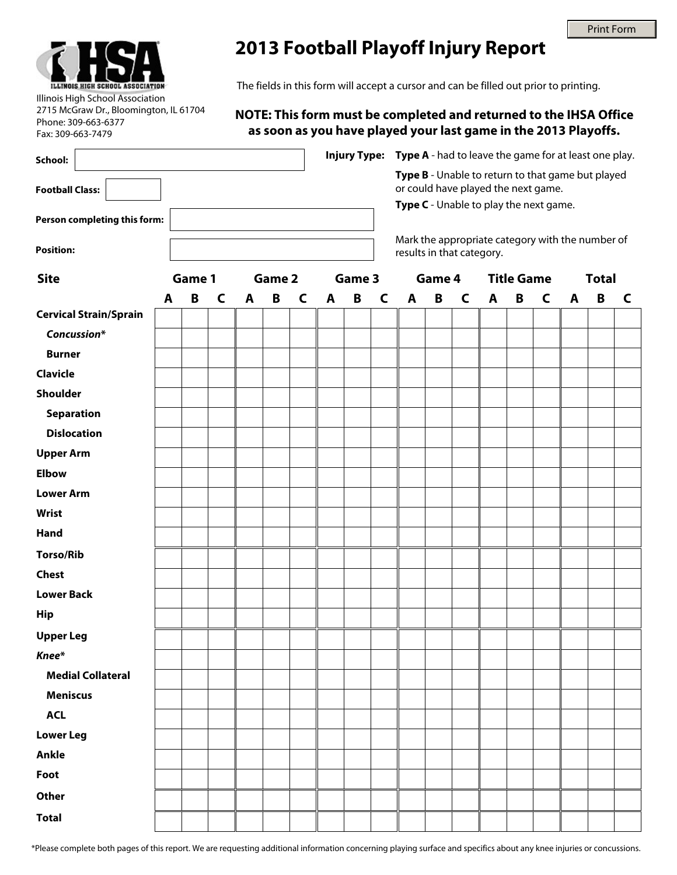

Illinois High School Association

Phone: 309-663-6377 Fax: 309-663-7479

2715 McGraw Dr., Bloomington, IL 61704

## **2013 Football Playoff Injury Report**

The fields in this form will accept a cursor and can be filled out prior to printing.

## **NOTE: This form must be completed and returned to the IHSA Office as soon as you have played your last game in the 2013 Playoffs.**

| School:                       |        |   |   |        |   |   |        |   | <b>Injury Type: Type A</b> - had to leave the game for at least one play.<br>Type B - Unable to return to that game but played |                                                                               |   |                   |   |   |              |              |          |   |
|-------------------------------|--------|---|---|--------|---|---|--------|---|--------------------------------------------------------------------------------------------------------------------------------|-------------------------------------------------------------------------------|---|-------------------|---|---|--------------|--------------|----------|---|
| <b>Football Class:</b>        |        |   |   |        |   |   |        |   |                                                                                                                                | or could have played the next game.                                           |   |                   |   |   |              |              |          |   |
|                               |        |   |   |        |   |   |        |   |                                                                                                                                | Type C - Unable to play the next game.                                        |   |                   |   |   |              |              |          |   |
| Person completing this form:  |        |   |   |        |   |   |        |   |                                                                                                                                |                                                                               |   |                   |   |   |              |              |          |   |
| <b>Position:</b>              |        |   |   |        |   |   |        |   |                                                                                                                                | Mark the appropriate category with the number of<br>results in that category. |   |                   |   |   |              |              |          |   |
| <b>Site</b>                   | Game 1 |   |   | Game 2 |   |   | Game 3 |   |                                                                                                                                | Game 4                                                                        |   | <b>Title Game</b> |   |   |              | <b>Total</b> |          |   |
|                               | A      | B | C | A      | B | C | A      | B | $\mathsf{C}$                                                                                                                   | A                                                                             | B | $\mathsf{C}$      | A | B | $\mathsf{C}$ | A            | $\pmb B$ | C |
| <b>Cervical Strain/Sprain</b> |        |   |   |        |   |   |        |   |                                                                                                                                |                                                                               |   |                   |   |   |              |              |          |   |
| Concussion*                   |        |   |   |        |   |   |        |   |                                                                                                                                |                                                                               |   |                   |   |   |              |              |          |   |
| <b>Burner</b>                 |        |   |   |        |   |   |        |   |                                                                                                                                |                                                                               |   |                   |   |   |              |              |          |   |
| <b>Clavicle</b>               |        |   |   |        |   |   |        |   |                                                                                                                                |                                                                               |   |                   |   |   |              |              |          |   |
| Shoulder                      |        |   |   |        |   |   |        |   |                                                                                                                                |                                                                               |   |                   |   |   |              |              |          |   |
| <b>Separation</b>             |        |   |   |        |   |   |        |   |                                                                                                                                |                                                                               |   |                   |   |   |              |              |          |   |
| <b>Dislocation</b>            |        |   |   |        |   |   |        |   |                                                                                                                                |                                                                               |   |                   |   |   |              |              |          |   |
| <b>Upper Arm</b>              |        |   |   |        |   |   |        |   |                                                                                                                                |                                                                               |   |                   |   |   |              |              |          |   |
| <b>Elbow</b>                  |        |   |   |        |   |   |        |   |                                                                                                                                |                                                                               |   |                   |   |   |              |              |          |   |
| <b>Lower Arm</b>              |        |   |   |        |   |   |        |   |                                                                                                                                |                                                                               |   |                   |   |   |              |              |          |   |
| <b>Wrist</b>                  |        |   |   |        |   |   |        |   |                                                                                                                                |                                                                               |   |                   |   |   |              |              |          |   |
| Hand                          |        |   |   |        |   |   |        |   |                                                                                                                                |                                                                               |   |                   |   |   |              |              |          |   |
| <b>Torso/Rib</b>              |        |   |   |        |   |   |        |   |                                                                                                                                |                                                                               |   |                   |   |   |              |              |          |   |
| <b>Chest</b>                  |        |   |   |        |   |   |        |   |                                                                                                                                |                                                                               |   |                   |   |   |              |              |          |   |
| <b>Lower Back</b>             |        |   |   |        |   |   |        |   |                                                                                                                                |                                                                               |   |                   |   |   |              |              |          |   |
| <b>Hip</b>                    |        |   |   |        |   |   |        |   |                                                                                                                                |                                                                               |   |                   |   |   |              |              |          |   |
| <b>Upper Leg</b>              |        |   |   |        |   |   |        |   |                                                                                                                                |                                                                               |   |                   |   |   |              |              |          |   |
| Knee*                         |        |   |   |        |   |   |        |   |                                                                                                                                |                                                                               |   |                   |   |   |              |              |          |   |
| <b>Medial Collateral</b>      |        |   |   |        |   |   |        |   |                                                                                                                                |                                                                               |   |                   |   |   |              |              |          |   |
| <b>Meniscus</b>               |        |   |   |        |   |   |        |   |                                                                                                                                |                                                                               |   |                   |   |   |              |              |          |   |
| <b>ACL</b>                    |        |   |   |        |   |   |        |   |                                                                                                                                |                                                                               |   |                   |   |   |              |              |          |   |
| <b>Lower Leg</b>              |        |   |   |        |   |   |        |   |                                                                                                                                |                                                                               |   |                   |   |   |              |              |          |   |
| Ankle                         |        |   |   |        |   |   |        |   |                                                                                                                                |                                                                               |   |                   |   |   |              |              |          |   |
| Foot                          |        |   |   |        |   |   |        |   |                                                                                                                                |                                                                               |   |                   |   |   |              |              |          |   |
| <b>Other</b>                  |        |   |   |        |   |   |        |   |                                                                                                                                |                                                                               |   |                   |   |   |              |              |          |   |
| <b>Total</b>                  |        |   |   |        |   |   |        |   |                                                                                                                                |                                                                               |   |                   |   |   |              |              |          |   |
|                               |        |   |   |        |   |   |        |   |                                                                                                                                |                                                                               |   |                   |   |   |              |              |          |   |